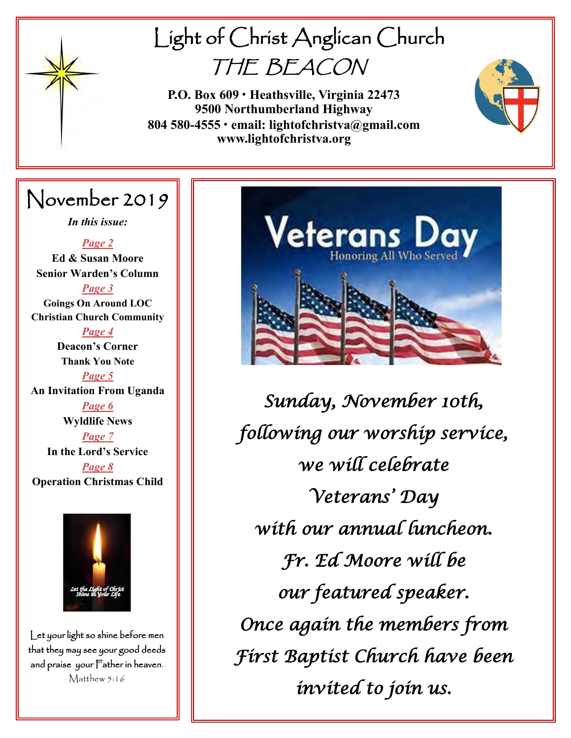

# Light of Christ Anglican Church THE BEACON

**P.O. Box 609 • Heathsville, Virginia 22473 9500 Northumberland Highway 804 580-4555 • email: lightofchristva@gmail.com www.lightofchristva.org**

# November 2019

*In this issue:*

*Page 2* **Ed & Susan Moore Senior Warden's Column**

*Page 3* **Goings On Around LOC Christian Church Community**

*Page 4* **Deacon's Corner Thank You Note** *Page 5* **An Invitation From Uganda** *Page 6* **Wyldlife News**

> *Page 7* **In the Lord's Service**

*Page 8* **Operation Christmas Child**



Let your light so shine before men that they may see your good deeds and praise your Father in heaven. Matthew 5:16



*Sunday, November 10th, following our worship service, we will celebrate Veterans' Day with our annual luncheon. Fr. Ed Moore will be our featured speaker. Once again the members from First Baptist Church have been invited to join us.*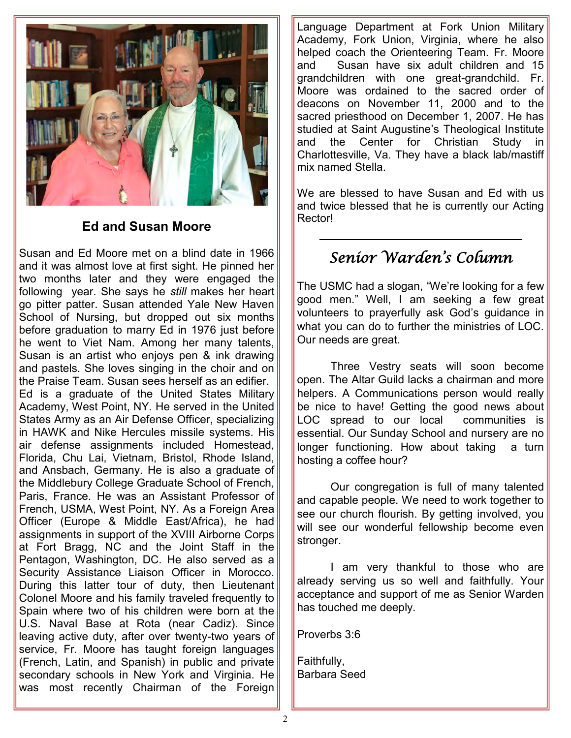

## **Ed and Susan Moore**

Susan and Ed Moore met on a blind date in 1966 and it was almost love at first sight. He pinned her two months later and they were engaged the following year. She says he *still* makes her heart go pitter patter. Susan attended Yale New Haven School of Nursing, but dropped out six months before graduation to marry Ed in 1976 just before he went to Viet Nam. Among her many talents, Susan is an artist who enjoys pen & ink drawing and pastels. She loves singing in the choir and on the Praise Team. Susan sees herself as an edifier. Ed is a graduate of the United States Military Academy, West Point, NY. He served in the United States Army as an Air Defense Officer, specializing in HAWK and Nike Hercules missile systems. His air defense assignments included Homestead, Florida, Chu Lai, Vietnam, Bristol, Rhode Island, and Ansbach, Germany. He is also a graduate of the Middlebury College Graduate School of French, Paris, France. He was an Assistant Professor of French, USMA, West Point, NY. As a Foreign Area Officer (Europe & Middle East/Africa), he had assignments in support of the XVIII Airborne Corps at Fort Bragg, NC and the Joint Staff in the Pentagon, Washington, DC. He also served as a Security Assistance Liaison Officer in Morocco. During this latter tour of duty, then Lieutenant Colonel Moore and his family traveled frequently to Spain where two of his children were born at the U.S. Naval Base at Rota (near Cadiz). Since leaving active duty, after over twenty-two years of service, Fr. Moore has taught foreign languages (French, Latin, and Spanish) in public and private secondary schools in New York and Virginia. He was most recently Chairman of the Foreign

Language Department at Fork Union Military Academy, Fork Union, Virginia, where he also helped coach the Orienteering Team. Fr. Moore and Susan have six adult children and 15 grandchildren with one great-grandchild. Fr. Moore was ordained to the sacred order of deacons on November 11, 2000 and to the sacred priesthood on December 1, 2007. He has studied at Saint Augustine's Theological Institute and the Center for Christian Study Charlottesville, Va. They have a black lab/mastiff mix named Stella.

We are blessed to have Susan and Ed with us and twice blessed that he is currently our Acting Rector!

# *Senior Warden's Column*

The USMC had a slogan, "We're looking for a few good men." Well, I am seeking a few great volunteers to prayerfully ask God's guidance in what you can do to further the ministries of LOC. Our needs are great.

Three Vestry seats will soon become open. The Altar Guild lacks a chairman and more helpers. A Communications person would really be nice to have! Getting the good news about LOC spread to our local communities is essential. Our Sunday School and nursery are no longer functioning. How about taking a turn hosting a coffee hour?

Our congregation is full of many talented and capable people. We need to work together to see our church flourish. By getting involved, you will see our wonderful fellowship become even stronger.

I am very thankful to those who are already serving us so well and faithfully. Your acceptance and support of me as Senior Warden has touched me deeply.

Proverbs 3:6

Faithfully, Barbara Seed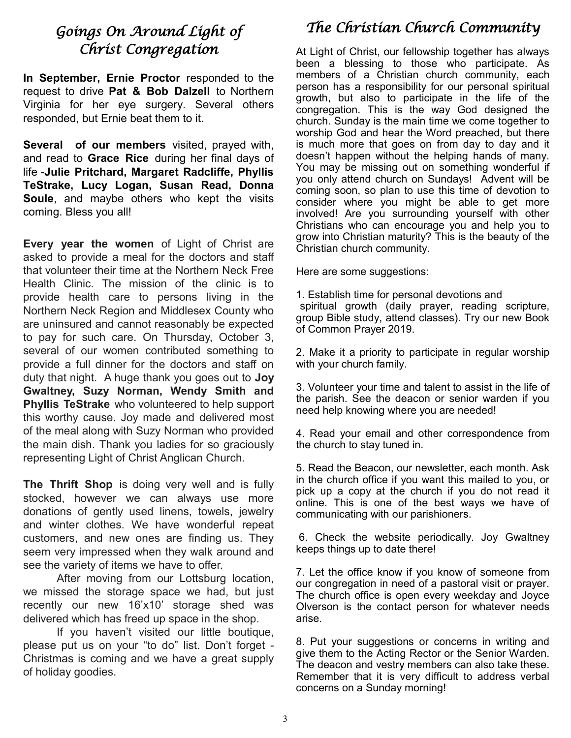## *Goings On Around Light of Christ Congregation*

**In September, Ernie Proctor** responded to the request to drive **Pat & Bob Dalzell** to Northern Virginia for her eye surgery. Several others responded, but Ernie beat them to it.

**Several of our members** visited, prayed with, and read to **Grace Rice** during her final days of life -**Julie Pritchard, Margaret Radcliffe, Phyllis TeStrake, Lucy Logan, Susan Read, Donna Soule**, and maybe others who kept the visits coming. Bless you all!

**Every year the women** of Light of Christ are asked to provide a meal for the doctors and staff that volunteer their time at the Northern Neck Free Health Clinic. The mission of the clinic is to provide health care to persons living in the Northern Neck Region and Middlesex County who are uninsured and cannot reasonably be expected to pay for such care. On Thursday, October 3, several of our women contributed something to provide a full dinner for the doctors and staff on duty that night. A huge thank you goes out to **Joy Gwaltney, Suzy Norman, Wendy Smith and Phyllis TeStrake** who volunteered to help support this worthy cause. Joy made and delivered most of the meal along with Suzy Norman who provided the main dish. Thank you ladies for so graciously representing Light of Christ Anglican Church.

**The Thrift Shop** is doing very well and is fully stocked, however we can always use more donations of gently used linens, towels, jewelry and winter clothes. We have wonderful repeat customers, and new ones are finding us. They seem very impressed when they walk around and see the variety of items we have to offer.

After moving from our Lottsburg location, we missed the storage space we had, but just recently our new 16'x10' storage shed was delivered which has freed up space in the shop.

If you haven't visited our little boutique, please put us on your "to do" list. Don't forget - Christmas is coming and we have a great supply of holiday goodies.

# *The Christian Church Community*

At Light of Christ, our fellowship together has always been a blessing to those who participate. As members of a Christian church community, each person has a responsibility for our personal spiritual growth, but also to participate in the life of the congregation. This is the way God designed the church. Sunday is the main time we come together to worship God and hear the Word preached, but there is much more that goes on from day to day and it doesn't happen without the helping hands of many. You may be missing out on something wonderful if you only attend church on Sundays! Advent will be coming soon, so plan to use this time of devotion to consider where you might be able to get more involved! Are you surrounding yourself with other Christians who can encourage you and help you to grow into Christian maturity? This is the beauty of the Christian church community.

Here are some suggestions:

1. Establish time for personal devotions and spiritual growth (daily prayer, reading scripture, group Bible study, attend classes). Try our new Book of Common Prayer 2019.

2. Make it a priority to participate in regular worship with your church family.

3. Volunteer your time and talent to assist in the life of the parish. See the deacon or senior warden if you need help knowing where you are needed!

4. Read your email and other correspondence from the church to stay tuned in.

5. Read the Beacon, our newsletter, each month. Ask in the church office if you want this mailed to you, or pick up a copy at the church if you do not read it online. This is one of the best ways we have of communicating with our parishioners.

6. Check the website periodically. Joy Gwaltney keeps things up to date there!

7. Let the office know if you know of someone from our congregation in need of a pastoral visit or prayer. The church office is open every weekday and Joyce Olverson is the contact person for whatever needs arise.

8. Put your suggestions or concerns in writing and give them to the Acting Rector or the Senior Warden. The deacon and vestry members can also take these. Remember that it is very difficult to address verbal concerns on a Sunday morning!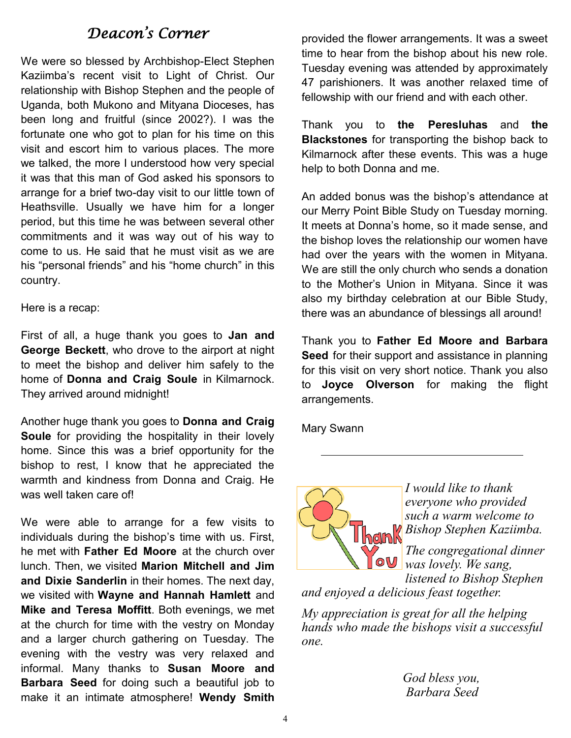## *Deacon's Corner*

We were so blessed by Archbishop-Elect Stephen Kaziimba's recent visit to Light of Christ. Our relationship with Bishop Stephen and the people of Uganda, both Mukono and Mityana Dioceses, has been long and fruitful (since 2002?). I was the fortunate one who got to plan for his time on this visit and escort him to various places. The more we talked, the more I understood how very special it was that this man of God asked his sponsors to arrange for a brief two-day visit to our little town of Heathsville. Usually we have him for a longer period, but this time he was between several other commitments and it was way out of his way to come to us. He said that he must visit as we are his "personal friends" and his "home church" in this country.

Here is a recap:

First of all, a huge thank you goes to **Jan and George Beckett**, who drove to the airport at night to meet the bishop and deliver him safely to the home of **Donna and Craig Soule** in Kilmarnock. They arrived around midnight!

Another huge thank you goes to **Donna and Craig Soule** for providing the hospitality in their lovely home. Since this was a brief opportunity for the bishop to rest, I know that he appreciated the warmth and kindness from Donna and Craig. He was well taken care of!

We were able to arrange for a few visits to individuals during the bishop's time with us. First, he met with **Father Ed Moore** at the church over lunch. Then, we visited **Marion Mitchell and Jim and Dixie Sanderlin** in their homes. The next day, we visited with **Wayne and Hannah Hamlett** and **Mike and Teresa Moffitt**. Both evenings, we met at the church for time with the vestry on Monday and a larger church gathering on Tuesday. The evening with the vestry was very relaxed and informal. Many thanks to **Susan Moore and Barbara Seed** for doing such a beautiful job to make it an intimate atmosphere! **Wendy Smith** 

provided the flower arrangements. It was a sweet time to hear from the bishop about his new role. Tuesday evening was attended by approximately 47 parishioners. It was another relaxed time of fellowship with our friend and with each other.

Thank you to **the Peresluhas** and **the Blackstones** for transporting the bishop back to Kilmarnock after these events. This was a huge help to both Donna and me.

An added bonus was the bishop's attendance at our Merry Point Bible Study on Tuesday morning. It meets at Donna's home, so it made sense, and the bishop loves the relationship our women have had over the years with the women in Mityana. We are still the only church who sends a donation to the Mother's Union in Mityana. Since it was also my birthday celebration at our Bible Study, there was an abundance of blessings all around!

Thank you to **Father Ed Moore and Barbara Seed** for their support and assistance in planning for this visit on very short notice. Thank you also to **Joyce Olverson** for making the flight arrangements.

Mary Swann



*I would like to thank everyone who provided such a warm welcome to Bishop Stephen Kaziimba.*

> *The congregational dinner was lovely. We sang, listened to Bishop Stephen*

*and enjoyed a delicious feast together.*

*My appreciation is great for all the helping hands who made the bishops visit a successful one.*

> *God bless you, Barbara Seed*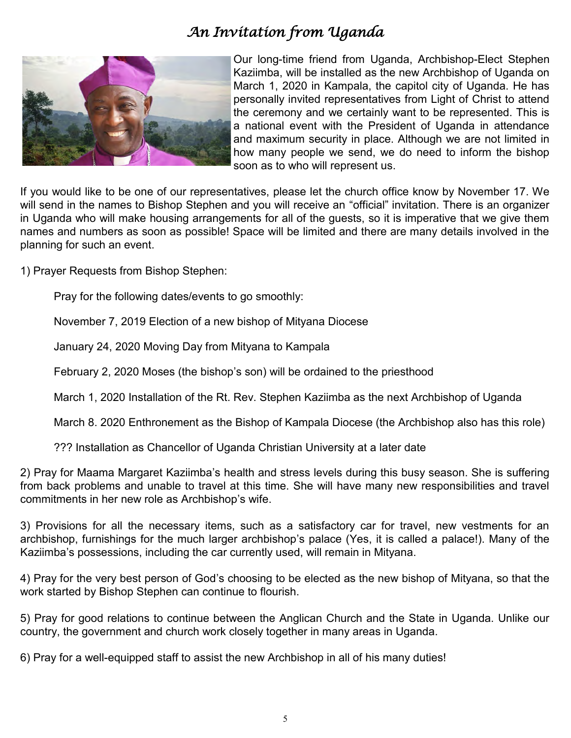# *An Invitation from Uganda*



Our long-time friend from Uganda, Archbishop-Elect Stephen Kaziimba, will be installed as the new Archbishop of Uganda on March 1, 2020 in Kampala, the capitol city of Uganda. He has personally invited representatives from Light of Christ to attend the ceremony and we certainly want to be represented. This is a national event with the President of Uganda in attendance and maximum security in place. Although we are not limited in how many people we send, we do need to inform the bishop soon as to who will represent us.

If you would like to be one of our representatives, please let the church office know by November 17. We will send in the names to Bishop Stephen and you will receive an "official" invitation. There is an organizer in Uganda who will make housing arrangements for all of the guests, so it is imperative that we give them names and numbers as soon as possible! Space will be limited and there are many details involved in the planning for such an event.

1) Prayer Requests from Bishop Stephen:

Pray for the following dates/events to go smoothly:

November 7, 2019 Election of a new bishop of Mityana Diocese

January 24, 2020 Moving Day from Mityana to Kampala

February 2, 2020 Moses (the bishop's son) will be ordained to the priesthood

March 1, 2020 Installation of the Rt. Rev. Stephen Kaziimba as the next Archbishop of Uganda

March 8. 2020 Enthronement as the Bishop of Kampala Diocese (the Archbishop also has this role)

??? Installation as Chancellor of Uganda Christian University at a later date

2) Pray for Maama Margaret Kaziimba's health and stress levels during this busy season. She is suffering from back problems and unable to travel at this time. She will have many new responsibilities and travel commitments in her new role as Archbishop's wife.

3) Provisions for all the necessary items, such as a satisfactory car for travel, new vestments for an archbishop, furnishings for the much larger archbishop's palace (Yes, it is called a palace!). Many of the Kaziimba's possessions, including the car currently used, will remain in Mityana.

4) Pray for the very best person of God's choosing to be elected as the new bishop of Mityana, so that the work started by Bishop Stephen can continue to flourish.

5) Pray for good relations to continue between the Anglican Church and the State in Uganda. Unlike our country, the government and church work closely together in many areas in Uganda.

6) Pray for a well-equipped staff to assist the new Archbishop in all of his many duties!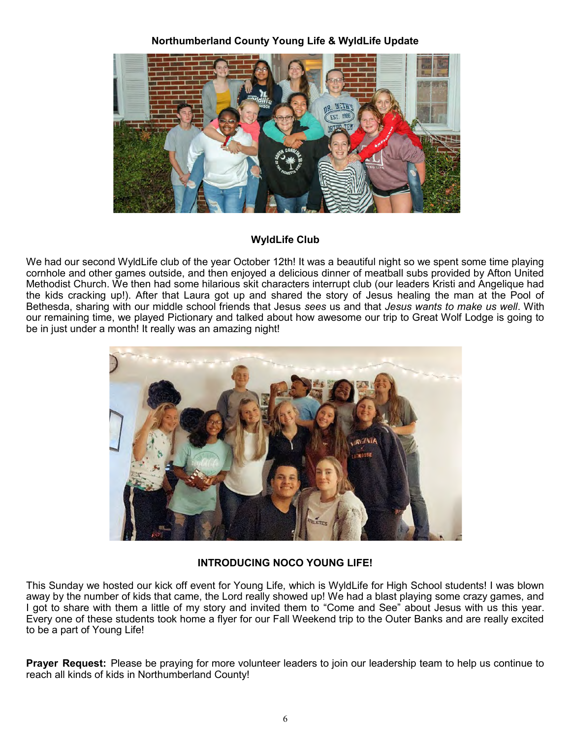#### **Northumberland County Young Life & WyldLife Update**



#### **WyldLife Club**

We had our second WyldLife club of the year October 12th! It was a beautiful night so we spent some time playing cornhole and other games outside, and then enjoyed a delicious dinner of meatball subs provided by Afton United Methodist Church. We then had some hilarious skit characters interrupt club (our leaders Kristi and Angelique had the kids cracking up!). After that Laura got up and shared the story of Jesus healing the man at the Pool of Bethesda, sharing with our middle school friends that Jesus *sees* us and that *Jesus wants to make us well*. With our remaining time, we played Pictionary and talked about how awesome our trip to Great Wolf Lodge is going to be in just under a month! It really was an amazing night!



#### **INTRODUCING NOCO YOUNG LIFE!**

This Sunday we hosted our kick off event for Young Life, which is WyldLife for High School students! I was blown away by the number of kids that came, the Lord really showed up! We had a blast playing some crazy games, and I got to share with them a little of my story and invited them to "Come and See" about Jesus with us this year. Every one of these students took home a flyer for our Fall Weekend trip to the Outer Banks and are really excited to be a part of Young Life!

**Prayer Request:** Please be praying for more volunteer leaders to join our leadership team to help us continue to reach all kinds of kids in Northumberland County!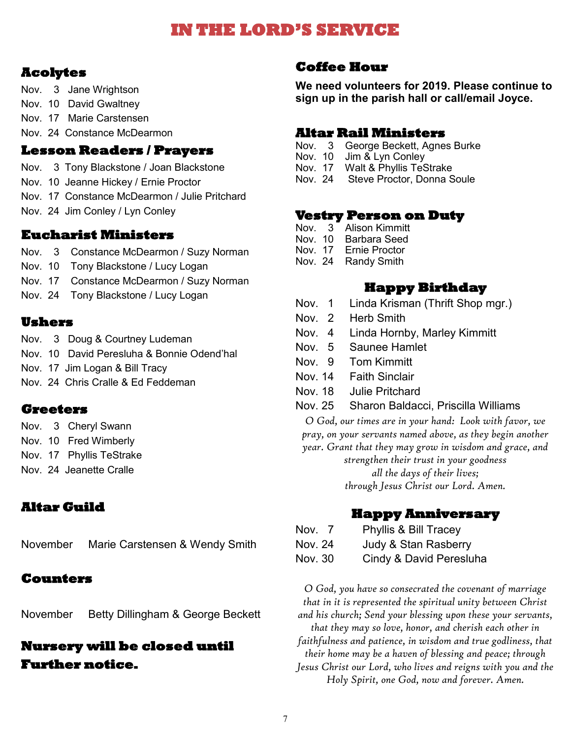# **IN THE LORD'S SERVICE**

## **Acolytes**

- Nov. 3 Jane Wrightson
- Nov. 10 David Gwaltney
- Nov. 17 Marie Carstensen
- Nov. 24 Constance McDearmon

## **Lesson Readers / Prayers**

- Nov. 3 Tony Blackstone / Joan Blackstone
- Nov. 10 Jeanne Hickey / Ernie Proctor
- Nov. 17 Constance McDearmon / Julie Pritchard
- Nov. 24 Jim Conley / Lyn Conley

## **Eucharist Ministers**

- Nov. 3 Constance McDearmon / Suzy Norman
- Nov. 10 Tony Blackstone / Lucy Logan
- Nov. 17 Constance McDearmon / Suzy Norman
- Nov. 24 Tony Blackstone / Lucy Logan

#### **Ushers**

- Nov. 3 Doug & Courtney Ludeman
- Nov. 10 David Peresluha & Bonnie Odend'hal
- Nov. 17 Jim Logan & Bill Tracy
- Nov. 24 Chris Cralle & Ed Feddeman

## **Greeters**

- Nov. 3 Cheryl Swann
- Nov. 10 Fred Wimberly
- Nov. 17 Phyllis TeStrake
- Nov. 24 Jeanette Cralle

## **Altar Guild**

|  | November Marie Carstensen & Wendy Smith |  |
|--|-----------------------------------------|--|
|--|-----------------------------------------|--|

## **Counters**

November Betty Dillingham & George Beckett

## **Nursery will be closed until Further notice.**

#### **Coffee Hour**

**We need volunteers for 2019. Please continue to sign up in the parish hall or call/email Joyce.**

#### **Altar Rail Ministers**

- Nov. 3 George Beckett, Agnes Burke<br>Nov. 10 Jim & Lyn Conley
- Nov. 10 Jim & Lyn Conley<br>Nov. 17 Walt & Phyllis Tes
- Nov. 17 Walt & Phyllis TeStrake<br>Nov. 24 Steve Proctor. Donna S
- Steve Proctor, Donna Soule

#### **Vestry Person on Duty**

- Nov. 3 Alison Kimmitt
- Nov. 10 Barbara Seed
- Nov. 17 Ernie Proctor
- Nov. 24 Randy Smith

## **Happy Birthday**

- Nov. 1 Linda Krisman (Thrift Shop mgr.)
- Nov. 2 Herb Smith
- Nov. 4 Linda Hornby, Marley Kimmitt
- Nov. 5 Saunee Hamlet
- Nov. 9 Tom Kimmitt
- Nov. 14 Faith Sinclair
- Nov. 18 Julie Pritchard
- Nov. 25 Sharon Baldacci, Priscilla Williams

*O God, our times are in your hand: Look with favor, we pray, on your servants named above, as they begin another year. Grant that they may grow in wisdom and grace, and* 

*strengthen their trust in your goodness all the days of their lives;* 

*through Jesus Christ our Lord. Amen.*

## **Happy Anniversary**

- Nov. 7 Phyllis & Bill Tracey
- Nov. 24 Judy & Stan Rasberry
- Nov. 30 Cindy & David Peresluha

*O God, you have so consecrated the covenant of marriage that in it is represented the spiritual unity between Christ and his church; Send your blessing upon these your servants, that they may so love, honor, and cherish each other in faithfulness and patience, in wisdom and true godliness, that their home may be a haven of blessing and peace; through Jesus Christ our Lord, who lives and reigns with you and the Holy Spirit, one God, now and forever. Amen.*